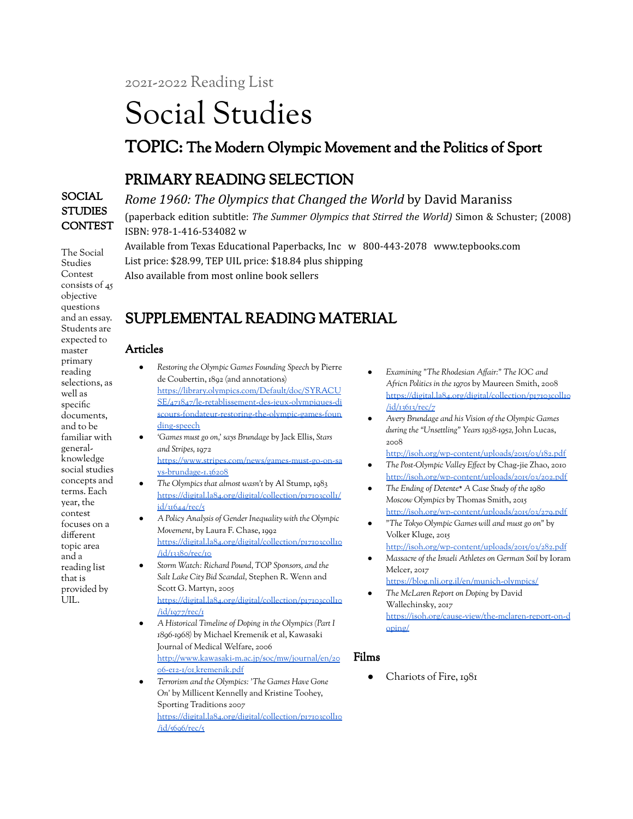2021-2022 Reading List

# Social Studies

## TOPIC: The Modern Olympic Movement and the Politics of Sport

## PRIMARY READING SELECTION

SOCIAL **STUDIES CONTEST** 

The Social Studies

*Rome 1960: The Olympics that Changed the World* by David Maraniss (paperback edition subtitle: *The Summer Olympics that Stirred the World)* Simon & Schuster; (2008) ISBN: 978-1-416-534082 w Available from Texas Educational Paperbacks, Inc w 800-443-2078 www.tepbooks.com

List price: \$28.99, TEP UIL price: \$18.84 plus shipping

Also available from most online book sellers

# SUPPLEMENTAL READING MATERIAL

#### Articles

- *Restoring the Olympic Games Founding Speech* by Pierre de Coubertin, 1892 (and annotations) [https://library.olympics.com/Default/doc/SYRACU](https://library.olympics.com/Default/doc/SYRACUSE/471847/le-retablissement-des-jeux-olympiques-discours-fondateur-restoring-the-olympic-games-founding-speech) [SE/471847/le-retablissement-des-jeux-olympiques-di](https://library.olympics.com/Default/doc/SYRACUSE/471847/le-retablissement-des-jeux-olympiques-discours-fondateur-restoring-the-olympic-games-founding-speech) [scours-fondateur-restoring-the-olympic-games-foun](https://library.olympics.com/Default/doc/SYRACUSE/471847/le-retablissement-des-jeux-olympiques-discours-fondateur-restoring-the-olympic-games-founding-speech) [ding-speech](https://library.olympics.com/Default/doc/SYRACUSE/471847/le-retablissement-des-jeux-olympiques-discours-fondateur-restoring-the-olympic-games-founding-speech)
- *'Games must go on,' says Brundage* by Jack Ellis, *Stars and Stripes,* 1972

[https://www.stripes.com/news/games-must-go-on-sa](https://www.stripes.com/news/games-must-go-on-says-brundage-1.36208) [ys-brundage-1.36208](https://www.stripes.com/news/games-must-go-on-says-brundage-1.36208)

- *The Olympics that almost wasn't* by Al Stump, 1983 [https://digital.la84.org/digital/collection/p17103coll1/](https://digital.la84.org/digital/collection/p17103coll1/id/31644/rec/5) [id/31644/rec/5](https://digital.la84.org/digital/collection/p17103coll1/id/31644/rec/5)
- *A Policy Analysis of Gender Inequality with the Olympic Movement*, by Laura F. Chase, 1992 [https://digital.la84.org/digital/collection/p17103coll10](https://digital.la84.org/digital/collection/p17103coll10/id/13380/rec/10) [/id/13380/rec/10](https://digital.la84.org/digital/collection/p17103coll10/id/13380/rec/10)
- *Storm Watch: Richard Pound, TOP Sponsors, and the Salt Lake City Bid Scandal,* Stephen R. Wenn and Scott G. Martyn, 2005 [https://digital.la84.org/digital/collection/p17103coll10](https://digital.la84.org/digital/collection/p17103coll10/id/1977/rec/1) [/id/1977/rec/1](https://digital.la84.org/digital/collection/p17103coll10/id/1977/rec/1)
- *A Historical Timeline of Doping in the Olympics (Part I 1896-1968)* by Michael Kremenik et al, Kawasaki Journal of Medical Welfare, 2006 [http://www.kawasaki-m.ac.jp/soc/mw/journal/en/20](http://www.kawasaki-m.ac.jp/soc/mw/journal/en/2006-e12-1/01_kremenik.pdf) [06-e12-1/01\\_kremenik.pdf](http://www.kawasaki-m.ac.jp/soc/mw/journal/en/2006-e12-1/01_kremenik.pdf)
- *Terrorism and the Olympics: 'The Games Have Gone On'* by Millicent Kennelly and Kristine Toohey, Sporting Traditions 2007 [https://digital.la84.org/digital/collection/p17103coll10](https://digital.la84.org/digital/collection/p17103coll10/id/5696/rec/5) [/id/5696/rec/5](https://digital.la84.org/digital/collection/p17103coll10/id/5696/rec/5)
- *Examining "The Rhodesian Affair:" The IOC and Africn Politics in the 1970s* by Maureen Smith, 2008 [https://digital.la84.org/digital/collection/p17103coll10](https://digital.la84.org/digital/collection/p17103coll10/id/13613/rec/7) [/id/13613/rec/7](https://digital.la84.org/digital/collection/p17103coll10/id/13613/rec/7)
- *Avery Brundage and his Vision of the Olympic Games during the "Unsettling" Years 1938-1952,* John Lucas, 2008
- <http://isoh.org/wp-content/uploads/2015/03/182.pdf> ● *The Post-Olympic Valley Effect* by Chag-jie Zhao, 2010 <http://isoh.org/wp-content/uploads/2015/03/202.pdf>
- *The Ending of Detente\* A Case Study of the 1980 Moscow Olympics* by Thomas Smith, 2015 <http://isoh.org/wp-content/uploads/2015/03/279.pdf>
- *"The Tokyo Olympic Games will and must go on"* by Volker Kluge, 2015
- <http://isoh.org/wp-content/uploads/2015/03/282.pdf> ● *Massacre of the Israeli Athletes on German Soil* by Ioram
- Melcer, 2017 <https://blog.nli.org.il/en/munich-olympics/> ● *The McLaren Report on Doping* by David Wallechinsky, 2017 [https://isoh.org/cause-view/the-mclaren-report-on-d](https://isoh.org/cause-view/the-mclaren-report-on-doping/) [oping/](https://isoh.org/cause-view/the-mclaren-report-on-doping/)

## Films

Chariots of Fire, 1981

Contest consists of 45 objective questions and an essay. Students are expected to master primary reading selections, as well as specific documents, and to be familiar with generalknowledge social studies concepts and terms. Each year, the contest focuses on a different topic area and a reading list that is provided by UIL.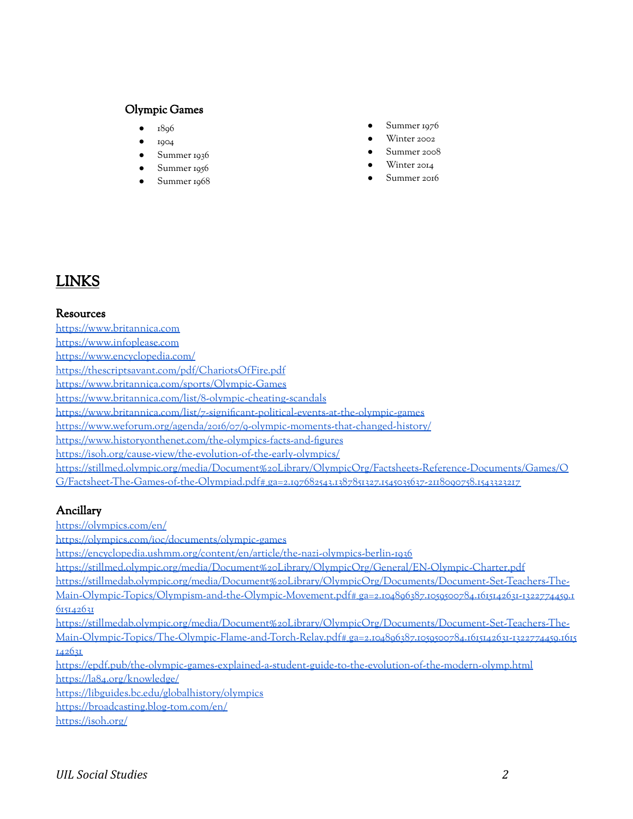#### Olympic Games

- 18<sub>96</sub>
- 1904
- Summer 1936
- Summer 1956
- Summer 1968
- Summer 1976
- Winter 2002
- Summer 2008
- Winter 2014
- Summer 2016

## LINKS

#### Resources

<https://www.britannica.com> <https://www.infoplease.com> <https://www.encyclopedia.com/> <https://thescriptsavant.com/pdf/ChariotsOfFire.pdf> <https://www.britannica.com/sports/Olympic-Games> <https://www.britannica.com/list/8-olympic-cheating-scandals> <https://www.britannica.com/list/7-significant-political-events-at-the-olympic-games> <https://www.weforum.org/agenda/2016/07/9-olympic-moments-that-changed-history/> <https://www.historyonthenet.com/the-olympics-facts-and-figures> <https://isoh.org/cause-view/the-evolution-of-the-early-olympics/> [https://stillmed.olympic.org/media/Document%20Library/OlympicOrg/Factsheets-Reference-Documents/Games/O](https://stillmed.olympic.org/media/Document%20Library/OlympicOrg/Factsheets-Reference-Documents/Games/OG/Factsheet-The-Games-of-the-Olympiad.pdf#_ga=2.197682543.1387851327.1545035637-2118090758.1543323217) [G/Factsheet-The-Games-of-the-Olympiad.pdf#\\_ga=2.197682543.1387851327.1545035637-2118090758.1543323217](https://stillmed.olympic.org/media/Document%20Library/OlympicOrg/Factsheets-Reference-Documents/Games/OG/Factsheet-The-Games-of-the-Olympiad.pdf#_ga=2.197682543.1387851327.1545035637-2118090758.1543323217)

## Ancillary

<https://olympics.com/en/>

<https://olympics.com/ioc/documents/olympic-games>

<https://encyclopedia.ushmm.org/content/en/article/the-nazi-olympics-berlin-1936>

<https://stillmed.olympic.org/media/Document%20Library/OlympicOrg/General/EN-Olympic-Charter.pdf>

[https://stillmedab.olympic.org/media/Document%20Library/OlympicOrg/Documents/Document-Set-Teachers-The-](https://stillmedab.olympic.org/media/Document%20Library/OlympicOrg/Documents/Document-Set-Teachers-The-Main-Olympic-Topics/Olympism-and-the-Olympic-Movement.pdf#_ga=2.104896387.1059500784.1615142631-1322774459.1615142631)

[Main-Olympic-Topics/Olympism-and-the-Olympic-Movement.pdf#\\_ga=2.104896387.1059500784.1615142631-1322774459.1](https://stillmedab.olympic.org/media/Document%20Library/OlympicOrg/Documents/Document-Set-Teachers-The-Main-Olympic-Topics/Olympism-and-the-Olympic-Movement.pdf#_ga=2.104896387.1059500784.1615142631-1322774459.1615142631) [615142631](https://stillmedab.olympic.org/media/Document%20Library/OlympicOrg/Documents/Document-Set-Teachers-The-Main-Olympic-Topics/Olympism-and-the-Olympic-Movement.pdf#_ga=2.104896387.1059500784.1615142631-1322774459.1615142631)

[https://stillmedab.olympic.org/media/Document%20Library/OlympicOrg/Documents/Document-Set-Teachers-The-](https://stillmedab.olympic.org/media/Document%20Library/OlympicOrg/Documents/Document-Set-Teachers-The-Main-Olympic-Topics/The-Olympic-Flame-and-Torch-Relay.pdf#_ga=2.104896387.1059500784.1615142631-1322774459.1615142631)[Main-Olympic-Topics/The-Olympic-Flame-and-Torch-Relay.pdf#\\_ga=2.104896387.1059500784.1615142631-1322774459.1615](https://stillmedab.olympic.org/media/Document%20Library/OlympicOrg/Documents/Document-Set-Teachers-The-Main-Olympic-Topics/The-Olympic-Flame-and-Torch-Relay.pdf#_ga=2.104896387.1059500784.1615142631-1322774459.1615142631) [142631](https://stillmedab.olympic.org/media/Document%20Library/OlympicOrg/Documents/Document-Set-Teachers-The-Main-Olympic-Topics/The-Olympic-Flame-and-Torch-Relay.pdf#_ga=2.104896387.1059500784.1615142631-1322774459.1615142631)

<https://epdf.pub/the-olympic-games-explained-a-student-guide-to-the-evolution-of-the-modern-olymp.html> <https://la84.org/knowledge/>

<https://libguides.bc.edu/globalhistory/olympics>

<https://broadcasting.blog-tom.com/en/>

<https://isoh.org/>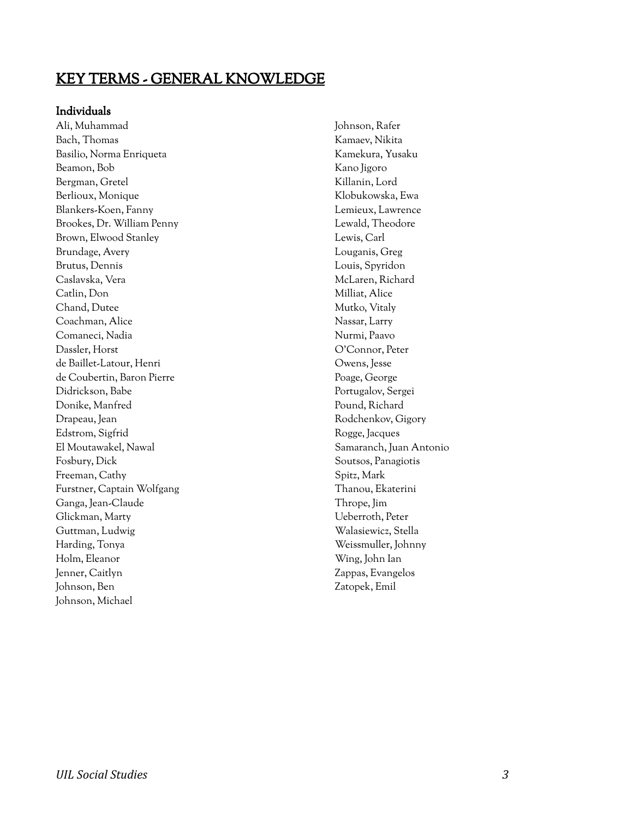## KEY TERMS - GENERAL KNOWLEDGE

#### Individuals

Ali, Muhammad Bach, Thomas Basilio, Norma Enriqueta Beamon, Bob Bergman, Gretel Berlioux, Monique Blankers-Koen, Fanny Brookes, Dr. William Penny Brown, Elwood Stanley Brundage, Avery Brutus, Dennis Caslavska, Vera Catlin, Don Chand, Dutee Coachman, Alice Comaneci, Nadia Dassler, Horst de Baillet-Latour, Henri de Coubertin, Baron Pierre Didrickson, Babe Donike, Manfred Drapeau, Jean Edstrom, Sigfrid El Moutawakel, Nawal Fosbury, Dick Freeman, Cathy Furstner, Captain Wolfgang Ganga, Jean-Claude Glickman, Marty Guttman, Ludwig Harding, Tonya Holm, Eleanor Jenner, Caitlyn Johnson, Ben Johnson, Michael

Johnson, Rafer Kamaev, Nikita Kamekura, Yusaku Kano Jigoro Killanin, Lord Klobukowska, Ewa Lemieux, Lawrence Lewald, Theodore Lewis, Carl Louganis, Greg Louis, Spyridon McLaren, Richard Milliat, Alice Mutko, Vitaly Nassar, Larry Nurmi, Paavo O'Connor, Peter Owens, Jesse Poage, George Portugalov, Sergei Pound, Richard Rodchenkov, Gigory Rogge, Jacques Samaranch, Juan Antonio Soutsos, Panagiotis Spitz, Mark Thanou, Ekaterini Thrope, Jim Ueberroth, Peter Walasiewicz, Stella Weissmuller, Johnny Wing, John Ian Zappas, Evangelos Zatopek, Emil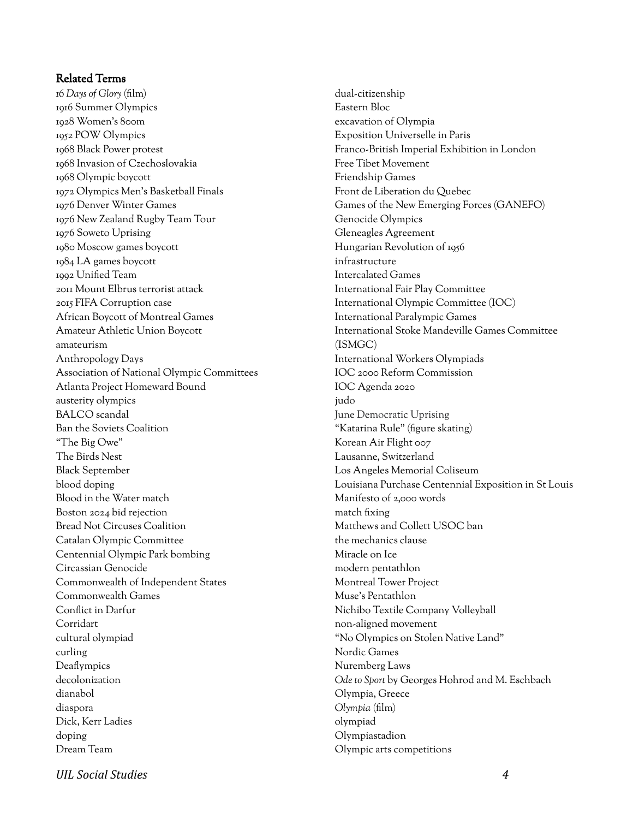#### Related Terms

*16 Days of Glory* (film) 1916 Summer Olympics 1928 Women's 800m 1952 POW Olympics 1968 Black Power protest 1968 Invasion of Czechoslovakia 1968 Olympic boycott 1972 Olympics Men's Basketball Finals 1976 Denver Winter Games 1976 New Zealand Rugby Team Tour 1976 Soweto Uprising 1980 Moscow games boycott 1984 LA games boycott 1992 Unified Team 2011 Mount Elbrus terrorist attack 2015 FIFA Corruption case African Boycott of Montreal Games Amateur Athletic Union Boycott amateurism Anthropology Days Association of National Olympic Committees Atlanta Project Homeward Bound austerity olympics BALCO scandal Ban the Soviets Coalition "The Big Owe" The Birds Nest Black September blood doping Blood in the Water match Boston 2024 bid rejection Bread Not Circuses Coalition Catalan Olympic Committee Centennial Olympic Park bombing Circassian Genocide Commonwealth of Independent States Commonwealth Games Conflict in Darfur Corridart cultural olympiad curling Deaflympics decolonization dianabol diaspora Dick, Kerr Ladies doping Dream Team

dual-citizenship Eastern Bloc excavation of Olympia Exposition Universelle in Paris Franco-British Imperial Exhibition in London Free Tibet Movement Friendship Games Front de Liberation du Quebec Games of the New Emerging Forces (GANEFO) Genocide Olympics Gleneagles Agreement Hungarian Revolution of 1956 infrastructure Intercalated Games International Fair Play Committee International Olympic Committee (IOC) International Paralympic Games International Stoke Mandeville Games Committee (ISMGC) International Workers Olympiads IOC 2000 Reform Commission IOC Agenda 2020 judo June Democratic Uprising "Katarina Rule" (figure skating) Korean Air Flight 007 Lausanne, Switzerland Los Angeles Memorial Coliseum Louisiana Purchase Centennial Exposition in St Louis Manifesto of 2,000 words match fixing Matthews and Collett USOC ban the mechanics clause Miracle on Ice modern pentathlon Montreal Tower Project Muse's Pentathlon Nichibo Textile Company Volleyball non-aligned movement "No Olympics on Stolen Native Land" Nordic Games Nuremberg Laws *Ode to Sport* by Georges Hohrod and M. Eschbach Olympia, Greece *Olympia* (film) olympiad Olympiastadion Olympic arts competitions

*UIL Social Studies 4*